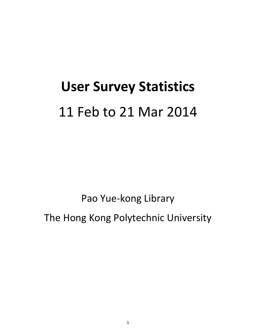# **User Survey Statistics** 11 Feb to 21 Mar 2014

Pao Yue-kong Library

The Hong Kong Polytechnic University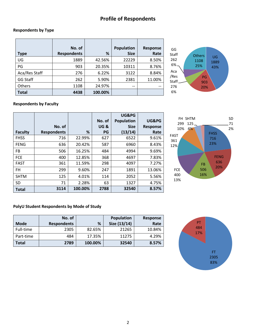# **Profile of Respondents**

#### **Respondents by Type**

|               | No. of             |         | Population  | Response |
|---------------|--------------------|---------|-------------|----------|
| Type          | <b>Respondents</b> | %       | <b>Size</b> | Rate     |
| UG            | 1889               | 42.56%  | 22229       | 8.50%    |
| PG            | 903                | 20.35%  | 10311       | 8.76%    |
| Aca/Res Staff | 276                | 6.22%   | 3122        | 8.84%    |
| GG Staff      | 262                | 5.90%   | 2381        | 11.00%   |
| <b>Others</b> | 1108               | 24.97%  | $- -$       | --       |
| <b>Total</b>  | 4438               | 100.00% |             |          |



#### **Respondents by Faculty**

|                |                    |         |                | UG&PG             |                 |
|----------------|--------------------|---------|----------------|-------------------|-----------------|
|                |                    |         | No. of         | <b>Population</b> | UG&PG           |
|                | No. of             |         | <b>UG&amp;</b> | <b>Size</b>       | <b>Response</b> |
| <b>Faculty</b> | <b>Respondents</b> | ℅       | PG             | (13/14)           | Rate            |
| <b>FHSS</b>    | 716                | 22.99%  | 627            | 6522              | 9.61%           |
| <b>FENG</b>    | 636                | 20.42%  | 587            | 6960              | 8.43%           |
| <b>FB</b>      | 506                | 16.25%  | 484            | 4994              | 9.69%           |
| <b>FCE</b>     | 400                | 12.85%  | 368            | 4697              | 7.83%           |
| <b>FAST</b>    | 361                | 11.59%  | 298            | 4097              | 7.27%           |
| <b>FH</b>      | 299                | 9.60%   | 247            | 1891              | 13.06%          |
| <b>SHTM</b>    | 125                | 4.01%   | 114            | 2052              | 5.56%           |
| <b>SD</b>      | 71                 | 2.28%   | 63             | 1327              | 4.75%           |
| <b>Total</b>   | 3114               | 100.00% | 2788           | 32540             | 8.57%           |



#### **PolyU Student Respondents by Mode of Study**

|             | No. of             |         | Population   | Response |
|-------------|--------------------|---------|--------------|----------|
| <b>Mode</b> | <b>Respondents</b> | %       | Size (13/14) | Rate     |
| Full-time   | 2305               | 82.65%  | 21265        | 10.84%   |
| Part-time   | 484                | 17.35%  | 11275        | 4.29%    |
| Total       | 2789               | 100.00% | 32540        | 8.57%    |

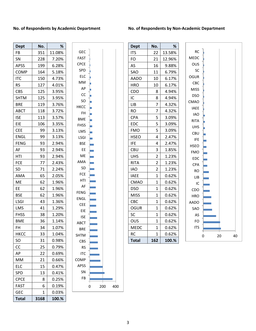#### **No. of Respondents by Academic Department**

#### **No. of Respondents by Non-Academic Department**

| <b>Dept</b>  | No.  | ℅      |
|--------------|------|--------|
| FB           | 351  | 11.08% |
| SN           | 228  | 7.20%  |
| <b>APSS</b>  | 199  | 6.28%  |
| <b>COMP</b>  | 164  | 5.18%  |
| <b>ITC</b>   | 150  | 4.73%  |
| RS           | 127  | 4.01%  |
| <b>CBS</b>   | 125  | 3.95%  |
| <b>SHTM</b>  | 125  | 3.95%  |
| BRE          | 119  | 3.76%  |
| ABCT         | 118  | 3.72%  |
| <b>ISE</b>   | 113  | 3.57%  |
| EIE          | 106  | 3.35%  |
| <b>CEE</b>   | 99   | 3.13%  |
| <b>ENGL</b>  | 99   | 3.13%  |
| <b>FENG</b>  | 93   | 2.94%  |
| AF           | 93   | 2.94%  |
| HTI          | 93   | 2.94%  |
| <b>FCE</b>   | 77   | 2.43%  |
| SD           | 71   | 2.24%  |
| AMA          | 65   | 2.05%  |
| ME           | 62   | 1.96%  |
| ЕE           | 62   | 1.96%  |
| BSE          | 62   | 1.96%  |
| LSGI         | 43   | 1.36%  |
| LMS          | 41   | 1.29%  |
| <b>FHSS</b>  | 38   | 1.20%  |
| BME          | 36   | 1.14%  |
| FH           | 34   | 1.07%  |
| HKCC         | 33   | 1.04%  |
| SO           | 31   | 0.98%  |
| СC           | 25   | 0.79%  |
| АP           | 22   | 0.69%  |
| МM           | 21   | 0.66%  |
| ELC          | 15   | 0.47%  |
| SPD          | 13   | 0.41%  |
| <b>CPCE</b>  | 8    | 0.25%  |
| <b>FAST</b>  | 6    | 0.19%  |
| GEC          | 1    | 0.03%  |
| <b>Total</b> | 3168 | 100.%  |



| <b>Dept</b>  | No.                     | ℅      |
|--------------|-------------------------|--------|
| <b>ITS</b>   | 22                      | 13.58% |
| FO           | 21                      | 12.96% |
| AS           | 16                      | 9.88%  |
| SAO          | 11                      | 6.79%  |
| AADO         | 10                      | 6.17%  |
| <b>HRO</b>   | 10                      | 6.17%  |
| CDO          | 8                       | 4.94%  |
| ١C           | 8                       | 4.94%  |
| LIB          | 7                       | 4.32%  |
| <b>RO</b>    | 7                       | 4.32%  |
| <b>CPA</b>   | 5                       | 3.09%  |
| <b>EDC</b>   | 5                       | 3.09%  |
| FMO          | 5                       | 3.09%  |
| <b>HSEO</b>  | 4                       | 2.47%  |
| <b>IFE</b>   | 4                       | 2.47%  |
| CBU          | 3                       | 1.85%  |
| <b>UHS</b>   | 2                       | 1.23%  |
| <b>RITA</b>  | 2                       | 1.23%  |
| IAO          | $\overline{\mathbf{c}}$ | 1.23%  |
| <b>IAEE</b>  | $\overline{1}$          | 0.62%  |
| <b>CMAO</b>  | $\overline{1}$          | 0.62%  |
| DSO          | $\overline{1}$          | 0.62%  |
| <b>MISS</b>  | $\overline{1}$          | 0.62%  |
| свс          | 1                       | 0.62%  |
| <b>OGUR</b>  | 1                       | 0.62%  |
| SC           | 1                       | 0.62%  |
| OUS          | 1                       | 0.62%  |
| <b>MEDC</b>  | $\overline{1}$          | 0.62%  |
| RC           | 1                       | 0.62%  |
| <b>Total</b> | 162                     | 100.%  |

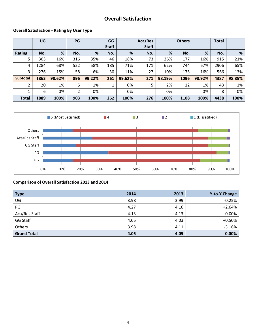# **Overall Satisfaction**

#### **Overall Satisfaction - Rating By User Type**

|                 | UG   |        | PG  |        | GG           |        | Aca/Res      |        | <b>Others</b> |        | <b>Total</b> |        |
|-----------------|------|--------|-----|--------|--------------|--------|--------------|--------|---------------|--------|--------------|--------|
|                 |      |        |     |        | <b>Staff</b> |        | <b>Staff</b> |        |               |        |              |        |
| <b>Rating</b>   | No.  | %      | No. | %      | No.          | %      | No.          | %      | No.           | %      | No.          | %      |
| 5               | 303  | 16%    | 316 | 35%    | 46           | 18%    | 73           | 26%    | 177           | 16%    | 915          | 21%    |
| 4               | 1284 | 68%    | 522 | 58%    | 185          | 71%    | 171          | 62%    | 744           | 67%    | 2906         | 65%    |
| 3               | 276  | 15%    | 58  | 6%     | 30           | 11%    | 27           | 10%    | 175           | 16%    | 566          | 13%    |
| <b>Subtotal</b> | 1863 | 98.62% | 896 | 99.22% | 261          | 99.62% | 271          | 98.19% | 1096          | 98.92% | 4387         | 98.85% |
| 2               | 20   | 1%     | 5   | 1%     | 1            | 0%     | 5            | 2%     | 12            | 1%     | 43           | 1%     |
|                 | 6    | 0%     | 2   | 0%     |              | 0%     |              | 0%     |               | 0%     | 8            | 0%     |
| <b>Total</b>    | 1889 | 100%   | 903 | 100%   | 262          | 100%   | 276          | 100%   | 1108          | 100%   | 4438         | 100%   |



#### **Comparison of Overall Satisfaction 2013 and 2014**

| <b>Type</b>        | 2014 | 2013 | <b>Y-to-Y Change</b> |
|--------------------|------|------|----------------------|
| UG                 | 3.98 | 3.99 | $-0.25%$             |
| PG                 | 4.27 | 4.16 | $+2.64%$             |
| Aca/Res Staff      | 4.13 | 4.13 | 0.00%                |
| GG Staff           | 4.05 | 4.03 | $+0.50%$             |
| Others             | 3.98 | 4.11 | $-3.16%$             |
| <b>Grand Total</b> | 4.05 | 4.05 | 0.00%                |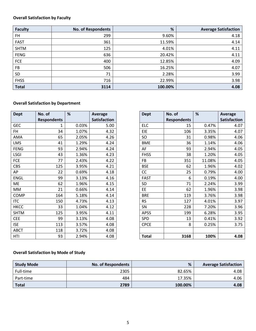## **Overall Satisfaction by Faculty**

| <b>Faculty</b> | No. of Respondents | %       | <b>Average Satisfaction</b> |
|----------------|--------------------|---------|-----------------------------|
| FH             | 299                | 9.60%   | 4.18                        |
| <b>FAST</b>    | 361                | 11.59%  | 4.14                        |
| <b>SHTM</b>    | 125                | 4.01%   | 4.11                        |
| <b>FENG</b>    | 636                | 20.42%  | 4.11                        |
| FCE            | 400                | 12.85%  | 4.09                        |
| FB             | 506                | 16.25%  | 4.07                        |
| <b>SD</b>      | 71                 | 2.28%   | 3.99                        |
| <b>FHSS</b>    | 716                | 22.99%  | 3.98                        |
| <b>Total</b>   | 3114               | 100.00% | 4.08                        |

#### **Overall Satisfaction by Department**

| <b>Dept</b> | No. of             | %     | <b>Average</b>      |
|-------------|--------------------|-------|---------------------|
|             | <b>Respondents</b> |       | <b>Satisfaction</b> |
| <b>GEC</b>  | 1                  | 0.03% | 5.00                |
| FH          | 34                 | 1.07% | 4.32                |
| AMA         | 65                 | 2.05% | 4.26                |
| LMS         | 41                 | 1.29% | 4.24                |
| <b>FENG</b> | 93                 | 2.94% | 4.24                |
| <b>LSGI</b> | 43                 | 1.36% | 4.23                |
| <b>FCE</b>  | 77                 | 2.43% | 4.22                |
| <b>CBS</b>  | 125                | 3.95% | 4.21                |
| АP          | 22                 | 0.69% | 4.18                |
| <b>ENGL</b> | 99                 | 3.13% | 4.16                |
| ME          | 62                 | 1.96% | 4.15                |
| <b>MM</b>   | 21                 | 0.66% | 4.14                |
| <b>COMP</b> | 164                | 5.18% | 4.14                |
| ITC         | 150                | 4.73% | 4.13                |
| <b>HKCC</b> | 33                 | 1.04% | 4.12                |
| <b>SHTM</b> | 125                | 3.95% | 4.11                |
| <b>CEE</b>  | 99                 | 3.13% | 4.08                |
| <b>ISE</b>  | 113                | 3.57% | 4.08                |
| <b>ABCT</b> | 118                | 3.72% | 4.08                |
| HTI         | 93                 | 2.94% | 4.08                |

| Dept        | No. of             | %     | <b>Average</b>      |
|-------------|--------------------|-------|---------------------|
|             | <b>Respondents</b> |       | <b>Satisfaction</b> |
| <b>GEC</b>  | 1                  | 0.03% | 5.00                |
| FH          | 34                 | 1.07% | 4.32                |
| AMA         | 65                 | 2.05% | 4.26                |
| LMS         | 41                 | 1.29% | 4.24                |
| <b>FENG</b> | 93                 | 2.94% | 4.24                |
| LSGI        | 43                 | 1.36% | 4.23                |
| FCE         | 77                 | 2.43% | 4.22                |
| CBS         | 125                | 3.95% | 4.21                |
| АP          | 22                 | 0.69% | 4.18                |
| <b>ENGL</b> | 99                 | 3.13% | 4.16                |
| ME          | 62                 | 1.96% | 4.15                |
| MM          | 21                 | 0.66% | 4.14                |
| <b>COMP</b> | 164                | 5.18% | 4.14                |
| <b>ITC</b>  | 150                | 4.73% | 4.13                |
| <b>HKCC</b> | 33                 | 1.04% | 4.12                |
| <b>SHTM</b> | 125                | 3.95% | 4.11                |
| <b>CEE</b>  | 99                 | 3.13% | 4.08                |
| ISE         | 113                | 3.57% | 4.08                |
| ABCT        | 118                | 3.72% | 4.08                |
| HTI         | 93                 | 2.94% | 4.08                |

## **Overall Satisfaction by Mode of Study**

| <b>Study Mode</b> | No. of Respondents | %       | <b>Average Satisfaction</b> |
|-------------------|--------------------|---------|-----------------------------|
| Full-time         | 2305               | 82.65%  | 4.08                        |
| Part-time         | 484                | 17.35%  | 4.06                        |
| <b>Total</b>      | 2789               | 100.00% | 4.08                        |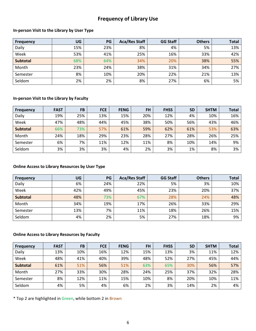# **Frequency of Library Use**

#### **In-person Visit to the Library by User Type**

| <b>Frequency</b> | <b>UG</b> | <b>PG</b> | <b>Aca/Res Staff</b> | <b>GG Staff</b> | <b>Others</b> | <b>Total</b> |
|------------------|-----------|-----------|----------------------|-----------------|---------------|--------------|
| Daily            | 15%       | 23%       | 8%                   | 4%              | 5%            | 13%          |
| Week             | 53%       | 41%       | 25%                  | 16%             | 33%           | 42%          |
| <b>Subtotal</b>  | 68%       | 64%       | 34%                  | 20%             | 38%           | 55%          |
| Month            | 23%       | 24%       | 38%                  | 31%             | 34%           | 27%          |
| Semester         | 8%        | 10%       | 20%                  | 22%             | 21%           | 13%          |
| Seldom           | 2%        | 2%        | 8%                   | 27%             | 6%            | 5%           |

#### **In-person Visit to the Library by Faculty**

| <b>Frequency</b> | <b>FAST</b> | <b>FB</b> | <b>FCE</b> | <b>FENG</b> | <b>FH</b> | <b>FHSS</b> | <b>SD</b> | <b>SHTM</b> | <b>Total</b> |
|------------------|-------------|-----------|------------|-------------|-----------|-------------|-----------|-------------|--------------|
| Daily            | 19%         | 25%       | 13%        | 15%         | 20%       | 12%         | 4%        | 10%         | 16%          |
| Week             | 47%         | 48%       | 44%        | 45%         | 38%       | 50%         | 56%       | 43%         | 46%          |
| <b>Subtotal</b>  | 66%         | 73%       | 57%        | 61%         | 59%       | 62%         | 61%       | 53%         | 63%          |
| Month            | 24%         | 18%       | 29%        | 23%         | 28%       | 27%         | 28%       | 26%         | 25%          |
| Semester         | 6%          | 7%        | 11%        | 12%         | 11%       | 8%          | 10%       | 14%         | 9%           |
| Seldom           | 3%          | 3%        | 3%         | 4%          | 2%        | 3%          | 1%        | 8%          | 3%           |

#### **Online Access to Library Resources by User Type**

| <b>Frequency</b> | UG  | PG  | <b>Aca/Res Staff</b> | <b>GG Staff</b> | <b>Others</b> | <b>Total</b> |
|------------------|-----|-----|----------------------|-----------------|---------------|--------------|
| Daily            | 6%  | 24% | 22%                  | 5%              | 3%            | 10%          |
| Week             | 42% | 49% | 45%                  | 23%             | 20%           | 37%          |
| <b>Subtotal</b>  | 48% | 73% | 67%                  | 28%             | 24%           | 48%          |
| Month            | 34% | 19% | 17%                  | 26%             | 33%           | 29%          |
| Semester         | 13% | 7%  | 11%                  | 18%             | 26%           | 15%          |
| Seldom           | 4%  | 2%  | 5%                   | 27%             | 18%           | 9%           |

#### **Online Access to Library Resources by Faculty**

| <b>Frequency</b> | <b>FAST</b> | <b>FB</b> | <b>FCE</b> | <b>FENG</b> | <b>FH</b> | <b>FHSS</b> | <b>SD</b> | <b>SHTM</b> | <b>Total</b> |
|------------------|-------------|-----------|------------|-------------|-----------|-------------|-----------|-------------|--------------|
| Daily            | 13%         | 10%       | 16%        | 12%         | 15%       | 13%         | 3%        | 11%         | 12%          |
| Week             | 48%         | 41%       | 40%        | 39%         | 48%       | 52%         | 27%       | 45%         | 44%          |
| <b>Subtotal</b>  | 61%         | 51%       | 56%        | 51%         | 63%       | 65%         | 30%       | 56%         | 57%          |
| Month            | 27%         | 33%       | 30%        | 28%         | 24%       | 25%         | 37%       | 32%         | 28%          |
| Semester         | 8%          | 12%       | 11%        | 15%         | 10%       | 8%          | 20%       | 10%         | 11%          |
| Seldom           | 4%          | 5%        | 4%         | 6%          | 2%        | 3%          | 14%       | 2%          | 4%           |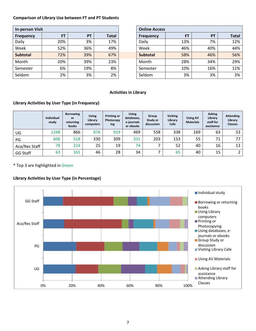#### **Comparison of Library Use between FT and PT Students**

| <b>In-person Visit</b> |           | <b>Online Access</b> |              |                  |
|------------------------|-----------|----------------------|--------------|------------------|
| <b>Frequency</b>       | <b>FT</b> | PT                   | <b>Total</b> | <b>Frequency</b> |
| Daily                  | 20%       | 3%                   | 17%          | Daily            |
| Week                   | 52%       | 36%                  | 49%          | Week             |
| <b>Subtotal</b>        | 72%       | 39%                  | 67%          | <b>Subtotal</b>  |
| Month                  | 20%       | 39%                  | 23%          | Month            |
| Semester               | 6%        | 19%                  | 8%           | Semester         |
| Seldom                 | 2%        | 3%                   | 2%           | Seldom           |

| In-person Visit  |     |           |       | <b>Online Access</b> |           |           |
|------------------|-----|-----------|-------|----------------------|-----------|-----------|
| <b>Frequency</b> | FT  | <b>PT</b> | Total | <b>Frequency</b>     | <b>FT</b> | <b>PT</b> |
| Daily            | 20% | 3%        | 17%   | Daily                | 13%       | 7%        |
| Week             | 52% | 36%       | 49%   | Week                 | 46%       | 40%       |
| <b>Subtotal</b>  | 72% | 39%       | 67%   | <b>Subtotal</b>      | 58%       | 46%       |
| Month            | 20% | 39%       | 23%   | Month                | 28%       | 34%       |
| Semester         | 6%  | 19%       | 8%    | Semester             | 10%       | 16%       |
| Seldom           | 2%  | 3%        | 2%    | Seldom               | 3%        | 3%        |

#### **Activities in Library**

#### **Library Activities by User Type (in Frequency)**

|                 | <b>Individual</b><br>study | <b>Borrowing</b><br>or<br>returning<br><b>books</b> | <b>Using</b><br>Library<br>computers | <b>Printing or</b><br>Photocopy<br>ing | <b>Using</b><br>databases,<br>e-journals<br>or ebooks | Group<br>Study or<br>discussion | <b>Visiting</b><br>Library<br>Cafe | <b>Using AV</b><br><b>Materials</b> | <b>Asking</b><br>Library<br>staff for<br>assistance | <b>Attending</b><br>Library<br><b>Classes</b> |
|-----------------|----------------------------|-----------------------------------------------------|--------------------------------------|----------------------------------------|-------------------------------------------------------|---------------------------------|------------------------------------|-------------------------------------|-----------------------------------------------------|-----------------------------------------------|
| UG              | 1248                       | 866                                                 | 876                                  | 919                                    | 469                                                   | 558                             | 338                                | 169                                 | 63                                                  | 53                                            |
| PG              | 606                        | 518                                                 | 330                                  | 309                                    | 331                                                   | 203                             | 153                                | 55                                  | 71                                                  | 77                                            |
| Aca/Res Staff   | 78                         | 214                                                 | 25                                   | 19                                     | 74                                                    |                                 | 52                                 | 40                                  | 16                                                  | 13                                            |
| <b>GG Staff</b> | 63                         | 161                                                 | 46                                   | 28                                     | 34                                                    |                                 | 65                                 | 40                                  | 15                                                  |                                               |

\* Top 3 are highlighted in Green

#### **Library Activities by User Type (in Percentage)**

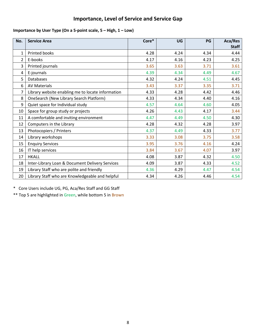# **Importance, Level of Service and Service Gap**

## **Importance by User Type (On a 5-point scale, 5 – High, 1 – Low)**

| No.            | <b>Service Area</b>                               | Core* | <b>UG</b> | PG   | Aca/Res      |
|----------------|---------------------------------------------------|-------|-----------|------|--------------|
|                |                                                   |       |           |      | <b>Staff</b> |
| 1              | Printed books                                     | 4.28  | 4.24      | 4.34 | 4.44         |
| $\overline{2}$ | E-books                                           | 4.17  | 4.16      | 4.23 | 4.25         |
| 3              | Printed journals                                  | 3.65  | 3.63      | 3.71 | 3.61         |
| 4              | E-journals                                        | 4.39  | 4.34      | 4.49 | 4.67         |
| 5              | <b>Databases</b>                                  | 4.32  | 4.24      | 4.51 | 4.45         |
| 6              | <b>AV Materials</b>                               | 3.43  | 3.37      | 3.35 | 3.71         |
| 7              | Library website enabling me to locate information | 4.33  | 4.28      | 4.42 | 4.46         |
| 8              | OneSearch (New Library Search Platform)           | 4.33  | 4.34      | 4.40 | 4.16         |
| 9              | Quiet space for Individual study                  | 4.57  | 4.64      | 4.60 | 4.05         |
| 10             | Space for group study or projects                 | 4.26  | 4.43      | 4.17 | 3.44         |
| 11             | A comfortable and inviting environment            | 4.47  | 4.49      | 4.50 | 4.30         |
| 12             | Computers in the Library                          | 4.28  | 4.32      | 4.28 | 3.97         |
| 13             | Photocopiers / Printers                           | 4.37  | 4.49      | 4.33 | 3.77         |
| 14             | Library workshops                                 | 3.33  | 3.08      | 3.75 | 3.58         |
| 15             | <b>Enquiry Services</b>                           | 3.95  | 3.76      | 4.16 | 4.24         |
| 16             | IT help services                                  | 3.84  | 3.67      | 4.07 | 3.97         |
| 17             | <b>HKALL</b>                                      | 4.08  | 3.87      | 4.32 | 4.50         |
| 18             | Inter-Library Loan & Document Delivery Services   | 4.09  | 3.87      | 4.33 | 4.52         |
| 19             | Library Staff who are polite and friendly         | 4.36  | 4.29      | 4.47 | 4.54         |
| 20             | Library Staff who are Knowledgeable and helpful   | 4.34  | 4.26      | 4.46 | 4.54         |

\* Core Users include UG, PG, Aca/Res Staff and GG Staff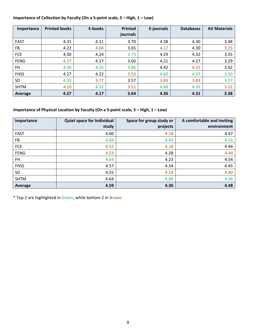## **Importance of Collection by Faculty (On a 5-point scale, 5 – High, 1 – Low)**

| Importance  | <b>Printed books</b> | E-books | <b>Printed</b> | E-journals | <b>Databases</b> | <b>AV Materials</b> |
|-------------|----------------------|---------|----------------|------------|------------------|---------------------|
|             |                      |         | journals       |            |                  |                     |
| <b>FAST</b> | 4.31                 | 4.11    | 3.70           | 4.38       | 4.30             | 3.48                |
| FB          | 4.22                 | 4.04    | 3.65           | 4.17       | 4.30             | 3.25                |
| <b>FCE</b>  | 4.30                 | 4.24    | 3.73           | 4.29       | 4.32             | 3.35                |
| <b>FENG</b> | 4.17                 | 4.17    | 3.60           | 4.21       | 4.27             | 3.29                |
| FH          | 4.50                 | 4.25    | 3.86           | 4.42       | 4.25             | 3.42                |
| <b>FHSS</b> | 4.27                 | 4.22    | 3.53           | 4.60       | 4.37             | 3.50                |
| <b>SD</b>   | 4.33                 | 3.77    | 3.57           | 3.83       | 3.83             | 3.57                |
| <b>SHTM</b> | 4.10                 | 4.32    | 3.51           | 4.60       | 4.35             | 3.22                |
| Average     | 4.27                 | 4.17    | 3.64           | 4.36       | 4.31             | 3.38                |

## **Importance of Physical Location by Faculty (On a 5-point scale, 5 – High, 1 – Low)**

| Importance  | Quiet space for Individual<br>study | Space for group study or<br>projects | A comfortable and inviting<br>environment |
|-------------|-------------------------------------|--------------------------------------|-------------------------------------------|
| <b>FAST</b> | 4.60                                | 4.18                                 | 4.47                                      |
| FB          | 4.69                                | 4.43                                 | 4.55                                      |
| FCE         | 4.52                                | 4.18                                 | 4.46                                      |
| <b>FENG</b> | 4.53                                | 4.28                                 | 4.44                                      |
| FH.         | 4.64                                | 4.23                                 | 4.54                                      |
| <b>FHSS</b> | 4.57                                | 4.34                                 | 4.45                                      |
| <b>SD</b>   | 4.55                                | 4.14                                 | 4.40                                      |
| <b>SHTM</b> | 4.64                                | 4.49                                 | 4.56                                      |
| Average     | 4.59                                | 4.30                                 | 4.48                                      |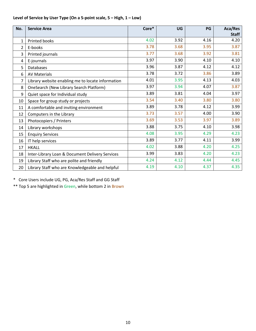| No. | <b>Service Area</b>                               | Core* | <b>UG</b> | PG   | Aca/Res      |
|-----|---------------------------------------------------|-------|-----------|------|--------------|
|     |                                                   |       |           |      | <b>Staff</b> |
| 1   | Printed books                                     | 4.02  | 3.92      | 4.16 | 4.20         |
| 2   | E-books                                           | 3.78  | 3.68      | 3.95 | 3.87         |
| 3   | Printed journals                                  | 3.77  | 3.68      | 3.92 | 3.81         |
| 4   | E-journals                                        | 3.97  | 3.90      | 4.10 | 4.10         |
| 5   | <b>Databases</b>                                  | 3.96  | 3.87      | 4.12 | 4.12         |
| 6   | <b>AV Materials</b>                               | 3.78  | 3.72      | 3.86 | 3.89         |
| 7   | Library website enabling me to locate information | 4.01  | 3.95      | 4.13 | 4.03         |
| 8   | OneSearch (New Library Search Platform)           | 3.97  | 3.94      | 4.07 | 3.87         |
| 9   | Quiet space for Individual study                  | 3.89  | 3.81      | 4.04 | 3.97         |
| 10  | Space for group study or projects                 | 3.54  | 3.40      | 3.80 | 3.80         |
| 11  | A comfortable and inviting environment            | 3.89  | 3.78      | 4.12 | 3.99         |
| 12  | Computers in the Library                          | 3.73  | 3.57      | 4.00 | 3.90         |
| 13  | Photocopiers / Printers                           | 3.69  | 3.53      | 3.97 | 3.89         |
| 14  | Library workshops                                 | 3.88  | 3.75      | 4.10 | 3.98         |
| 15  | <b>Enquiry Services</b>                           | 4.08  | 3.95      | 4.29 | 4.23         |
| 16  | IT help services                                  | 3.89  | 3.77      | 4.11 | 3.99         |
| 17  | <b>HKALL</b>                                      | 4.02  | 3.88      | 4.20 | 4.25         |
| 18  | Inter-Library Loan & Document Delivery Services   | 3.99  | 3.83      | 4.20 | 4.23         |
| 19  | Library Staff who are polite and friendly         | 4.24  | 4.12      | 4.44 | 4.45         |
| 20  | Library Staff who are Knowledgeable and helpful   | 4.19  | 4.10      | 4.37 | 4.35         |

## **Level of Service by User Type (On a 5-point scale, 5 – High, 1 – Low)**

\* Core Users include UG, PG, Aca/Res Staff and GG Staff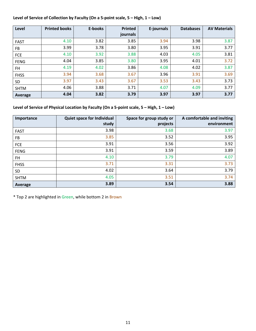## **Level of Service of Collection by Faculty (On a 5-point scale, 5 – High, 1 – Low)**

| Level       | <b>Printed books</b> | E-books | <b>Printed</b> | E-journals | <b>Databases</b> | <b>AV Materials</b> |
|-------------|----------------------|---------|----------------|------------|------------------|---------------------|
|             |                      |         | journals       |            |                  |                     |
| <b>FAST</b> | 4.10                 | 3.82    | 3.85           | 3.94       | 3.98             | 3.87                |
| FB          | 3.99                 | 3.78    | 3.80           | 3.95       | 3.91             | 3.77                |
| <b>FCE</b>  | 4.10                 | 3.92    | 3.88           | 4.03       | 4.05             | 3.81                |
| <b>FENG</b> | 4.04                 | 3.85    | 3.80           | 3.95       | 4.01             | 3.72                |
| FH          | 4.19                 | 4.02    | 3.86           | 4.08       | 4.02             | 3.87                |
| <b>FHSS</b> | 3.94                 | 3.68    | 3.67           | 3.96       | 3.91             | 3.69                |
| <b>SD</b>   | 3.97                 | 3.43    | 3.67           | 3.53       | 3.43             | 3.73                |
| <b>SHTM</b> | 4.06                 | 3.88    | 3.71           | 4.07       | 4.09             | 3.77                |
| Average     | 4.04                 | 3.82    | 3.79           | 3.97       | 3.97             | 3.77                |

## **Level of Service of Physical Location by Faculty (On a 5-point scale, 5 – High, 1 – Low)**

| Importance  | Quiet space for Individual<br>study | Space for group study or<br>projects | A comfortable and inviting<br>environment |
|-------------|-------------------------------------|--------------------------------------|-------------------------------------------|
| <b>FAST</b> | 3.98                                | 3.68                                 | 3.97                                      |
| FB          | 3.85                                | 3.52                                 | 3.95                                      |
| <b>FCE</b>  | 3.91                                | 3.56                                 | 3.92                                      |
| <b>FENG</b> | 3.91                                | 3.59                                 | 3.89                                      |
| <b>FH</b>   | 4.10                                | 3.79                                 | 4.07                                      |
| <b>FHSS</b> | 3.71                                | 3.31                                 | 3.73                                      |
| <b>SD</b>   | 4.02                                | 3.64                                 | 3.79                                      |
| <b>SHTM</b> | 4.05                                | 3.51                                 | 3.74                                      |
| Average     | 3.89                                | 3.54                                 | 3.88                                      |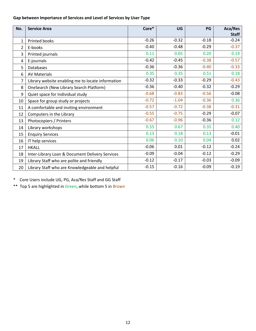## **Gap between Importance of Services and Level of Services by User Type**

| No.            | <b>Service Area</b>                               | Core*   | UG      | PG      | Aca/Res<br><b>Staff</b> |
|----------------|---------------------------------------------------|---------|---------|---------|-------------------------|
| 1              | <b>Printed books</b>                              | $-0.26$ | $-0.32$ | $-0.18$ | $-0.24$                 |
| $\overline{2}$ | E-books                                           | $-0.40$ | $-0.48$ | $-0.29$ | $-0.37$                 |
| 3              | Printed journals                                  | 0.11    | 0.05    | 0.20    | 0.19                    |
| 4              | E-journals                                        | $-0.42$ | $-0.45$ | $-0.38$ | $-0.57$                 |
| 5              | <b>Databases</b>                                  | $-0.36$ | $-0.36$ | $-0.40$ | $-0.33$                 |
| 6              | <b>AV Materials</b>                               | 0.35    | 0.35    | 0.51    | 0.18                    |
| 7              | Library website enabling me to locate information | $-0.32$ | $-0.33$ | $-0.29$ | $-0.43$                 |
| 8              | OneSearch (New Library Search Platform)           | $-0.36$ | $-0.40$ | $-0.32$ | $-0.29$                 |
| 9              | Quiet space for Individual study                  | $-0.68$ | $-0.83$ | $-0.56$ | $-0.08$                 |
| 10             | Space for group study or projects                 | $-0.72$ | $-1.04$ | $-0.36$ | 0.36                    |
| 11             | A comfortable and inviting environment            | $-0.57$ | $-0.72$ | $-0.38$ | $-0.31$                 |
| 12             | Computers in the Library                          | $-0.55$ | $-0.75$ | $-0.29$ | $-0.07$                 |
| 13             | Photocopiers / Printers                           | $-0.67$ | $-0.96$ | $-0.36$ | 0.12                    |
| 14             | Library workshops                                 | 0.55    | 0.67    | 0.35    | 0.40                    |
| 15             | <b>Enquiry Services</b>                           | 0.13    | 0.18    | 0.13    | $-0.01$                 |
| 16             | IT help services                                  | 0.06    | 0.10    | 0.04    | 0.02                    |
| 17             | <b>HKALL</b>                                      | $-0.06$ | 0.01    | $-0.12$ | $-0.24$                 |
| 18             | Inter-Library Loan & Document Delivery Services   | $-0.09$ | $-0.04$ | $-0.12$ | $-0.29$                 |
| 19             | Library Staff who are polite and friendly         | $-0.12$ | $-0.17$ | $-0.03$ | $-0.09$                 |
| 20             | Library Staff who are Knowledgeable and helpful   | $-0.15$ | $-0.16$ | $-0.09$ | $-0.19$                 |

\* Core Users include UG, PG, Aca/Res Staff and GG Staff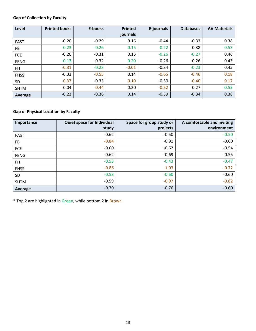## **Gap of Collection by Faculty**

| Level       | <b>Printed books</b> | E-books | <b>Printed</b> | E-journals | <b>Databases</b> | <b>AV Materials</b> |
|-------------|----------------------|---------|----------------|------------|------------------|---------------------|
|             |                      |         | journals       |            |                  |                     |
| <b>FAST</b> | $-0.20$              | $-0.29$ | 0.16           | $-0.44$    | $-0.33$          | 0.38                |
| FB          | $-0.23$              | $-0.26$ | 0.15           | $-0.22$    | $-0.38$          | 0.53                |
| FCE         | $-0.20$              | $-0.31$ | 0.15           | $-0.26$    | $-0.27$          | 0.46                |
| <b>FENG</b> | $-0.13$              | $-0.32$ | 0.20           | $-0.26$    | $-0.26$          | 0.43                |
| FH.         | $-0.31$              | $-0.23$ | $-0.01$        | $-0.34$    | $-0.23$          | 0.45                |
| <b>FHSS</b> | $-0.33$              | $-0.55$ | 0.14           | $-0.65$    | $-0.46$          | 0.18                |
| <b>SD</b>   | $-0.37$              | $-0.33$ | 0.10           | $-0.30$    | $-0.40$          | 0.17                |
| <b>SHTM</b> | $-0.04$              | $-0.44$ | 0.20           | $-0.52$    | $-0.27$          | 0.55                |
| Average     | $-0.23$              | $-0.36$ | 0.14           | $-0.39$    | $-0.34$          | 0.38                |

## **Gap of Physical Location by Faculty**

| Importance  | <b>Quiet space for Individual</b> | Space for group study or | A comfortable and inviting |
|-------------|-----------------------------------|--------------------------|----------------------------|
|             | study                             | projects                 | environment                |
| <b>FAST</b> | $-0.62$                           | $-0.50$                  | $-0.50$                    |
| FB          | $-0.84$                           | $-0.91$                  | $-0.60$                    |
| FCE         | $-0.60$                           | $-0.62$                  | $-0.54$                    |
| <b>FENG</b> | $-0.62$                           | $-0.69$                  | $-0.55$                    |
| FH          | $-0.53$                           | $-0.43$                  | $-0.47$                    |
| <b>FHSS</b> | $-0.86$                           | $-1.03$                  | $-0.72$                    |
| <b>SD</b>   | $-0.53$                           | $-0.50$                  | $-0.60$                    |
| <b>SHTM</b> | $-0.59$                           | $-0.97$                  | $-0.82$                    |
| Average     | $-0.70$                           | $-0.76$                  | $-0.60$                    |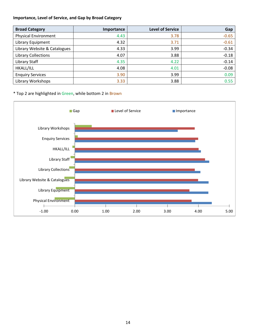#### **Importance, Level of Service, and Gap by Broad Category**

| <b>Broad Category</b>        | Importance | <b>Level of Service</b> | Gap     |
|------------------------------|------------|-------------------------|---------|
| <b>Physical Environment</b>  | 4.43       | 3.78                    | $-0.65$ |
| Library Equipment            | 4.32       | 3.71                    | $-0.61$ |
| Library Website & Catalogues | 4.33       | 3.99                    | $-0.34$ |
| <b>Library Collections</b>   | 4.07       | 3.88                    | $-0.18$ |
| Library Staff                | 4.35       | 4.22                    | $-0.14$ |
| <b>HKALL/ILL</b>             | 4.08       | 4.01                    | $-0.08$ |
| <b>Enquiry Services</b>      | 3.90       | 3.99                    | 0.09    |
| Library Workshops            | 3.33       | 3.88                    | 0.55    |

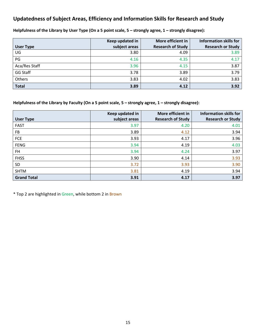# **Updatedness of Subject Areas, Efficiency and Information Skills for Research and Study**

|                  | Keep updated in | More efficient in        | <b>Information skills for</b> |
|------------------|-----------------|--------------------------|-------------------------------|
| <b>User Type</b> | subject areas   | <b>Research of Study</b> | <b>Research or Study</b>      |
| UG               | 3.80            | 4.09                     | 3.89                          |
| PG               | 4.16            | 4.35                     | 4.17                          |
| Aca/Res Staff    | 3.96            | 4.15                     | 3.87                          |
| <b>GG Staff</b>  | 3.78            | 3.89                     | 3.79                          |
| Others           | 3.83            | 4.02                     | 3.83                          |
| <b>Total</b>     | 3.89            | 4.12                     | 3.92                          |

**Helpfulness of the Library by User Type (On a 5 point scale, 5 – strongly agree, 1 – strongly disagree):** 

**Helpfulness of the Library by Faculty (On a 5 point scale, 5 – strongly agree, 1 – strongly disagree):** 

|                    | Keep updated in | More efficient in        | <b>Information skills for</b> |
|--------------------|-----------------|--------------------------|-------------------------------|
| <b>User Type</b>   | subject areas   | <b>Research of Study</b> | <b>Research or Study</b>      |
| <b>FAST</b>        | 3.97            | 4.20                     | 4.01                          |
| <b>FB</b>          | 3.89            | 4.12                     | 3.94                          |
| FCE                | 3.93            | 4.17                     | 3.96                          |
| <b>FENG</b>        | 3.94            | 4.19                     | 4.03                          |
| <b>FH</b>          | 3.94            | 4.24                     | 3.97                          |
| <b>FHSS</b>        | 3.90            | 4.14                     | 3.93                          |
| SD                 | 3.72            | 3.93                     | 3.90                          |
| <b>SHTM</b>        | 3.81            | 4.19                     | 3.94                          |
| <b>Grand Total</b> | 3.91            | 4.17                     | 3.97                          |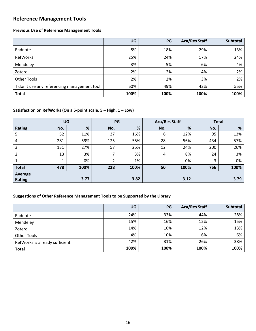# **Reference Management Tools**

#### **Previous Use of Reference Management Tools**

|                                             | UG   | PG   | <b>Aca/Res Staff</b> | <b>Subtotal</b> |
|---------------------------------------------|------|------|----------------------|-----------------|
| Endnote                                     | 8%   | 18%  | 29%                  | 13%             |
| RefWorks                                    | 25%  | 24%  | 17%                  | 24%             |
| Mendeley                                    | 3%   | 5%   | 6%                   | 4%              |
| Zotero                                      | 2%   | 2%   | 4%                   | 2%              |
| <b>Other Tools</b>                          | 2%   | 2%   | 3%                   | 2%              |
| I don't use any referencing management tool | 60%  | 49%  | 42%                  | 55%             |
| <b>Total</b>                                | 100% | 100% | 100%                 | 100%            |

#### **Satisfaction on RefWorks (On a 5-point scale, 5 – High, 1 – Low)**

|                | UG  |      | PG  |      | <b>Aca/Res Staff</b> |      | <b>Total</b> |      |
|----------------|-----|------|-----|------|----------------------|------|--------------|------|
| <b>Rating</b>  | No. | %    | No. | %    | No.                  | %    | No.          | %    |
| 5              | 52  | 11%  | 37  | 16%  | 6                    | 12%  | 95           | 13%  |
| 4              | 281 | 59%  | 125 | 55%  | 28                   | 56%  | 434          | 57%  |
| 3              | 131 | 27%  | 57  | 25%  | 12                   | 24%  | 200          | 26%  |
| $\overline{2}$ | 13  | 3%   | ⇁   | 3%   | 4                    | 8%   | 24           | 3%   |
|                | 4   | 0%   | ົາ  | 1%   |                      | 0%   | 3            | 0%   |
| <b>Total</b>   | 478 | 100% | 228 | 100% | 50                   | 100% | 756          | 100% |
| <b>Average</b> |     |      |     |      |                      |      |              |      |
| <b>Rating</b>  |     | 3.77 |     | 3.82 |                      | 3.12 |              | 3.79 |

## **Suggestions of Other Reference Management Tools to be Supported by the Library**

|                                | UG   | PG   | <b>Aca/Res Staff</b> | <b>Subtotal</b> |
|--------------------------------|------|------|----------------------|-----------------|
| Endnote                        | 24%  | 33%  | 44%                  | 28%             |
| Mendeley                       | 15%  | 16%  | 12%                  | 15%             |
| Zotero                         | 14%  | 10%  | 12%                  | 13%             |
| <b>Other Tools</b>             | 4%   | 10%  | 6%                   | 6%              |
| RefWorks is already sufficient | 42%  | 31%  | 26%                  | 38%             |
| <b>Total</b>                   | 100% | 100% | 100%                 | 100%            |